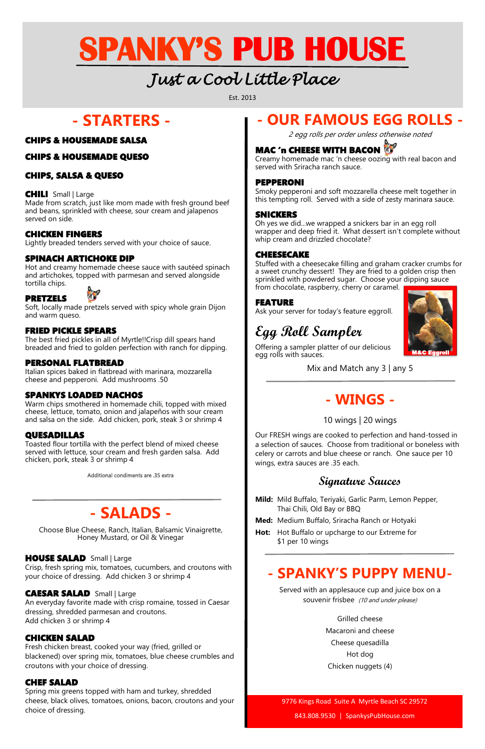### **- STARTERS -**

#### CHIPS & HOUSEMADE SALSA

#### CHIPS & HOUSEMADE QUESO

#### CHIPS, SALSA & QUESO

#### CHILI Small | Large

Made from scratch, just like mom made with fresh ground beef and beans, sprinkled with cheese, sour cream and jalapenos served on side.

#### CHICKEN FINGERS

Lightly breaded tenders served with your choice of sauce.

#### SPINACH ARTICHOKE DIP

Hot and creamy homemade cheese sauce with sautéed spinach and artichokes, topped with parmesan and served alongside tortilla chips.

#### PRETZELS



Soft, locally made pretzels served with spicy whole grain Dijon and warm queso.

#### FRIED PICKLE SPEARS

The best fried pickles in all of Myrtle!!Crisp dill spears hand breaded and fried to golden perfection with ranch for dipping.

#### PERSONAL FLATBREAD

Italian spices baked in flatbread with marinara, mozzarella cheese and pepperoni. Add mushrooms .50

#### SPANKYS LOADED NACHOS

Warm chips smothered in homemade chili, topped with mixed cheese, lettuce, tomato, onion and jalapeños with sour cream and salsa on the side. Add chicken, pork, steak 3 or shrimp 4

#### QUESADILLAS

Creamy homemade mac 'n cheese oozing with real bacon and served with Sriracha ranch sauce.

Toasted flour tortilla with the perfect blend of mixed cheese served with lettuce, sour cream and fresh garden salsa. Add chicken, pork, steak 3 or shrimp 4

Additional condiments are .35 extra

### **- SALADS -**

Choose Blue Cheese, Ranch, Italian, Balsamic Vinaigrette, Honey Mustard, or Oil & Vinegar

Crisp, fresh spring mix, tomatoes, cucumbers, and croutons with your choice of dressing. Add chicken 3 or shrimp 4

#### CAESAR SALAD Small | Large

An everyday favorite made with crisp romaine, tossed in Caesar dressing, shredded parmesan and croutons. Add chicken 3 or shrimp 4

#### CHICKEN SALAD

Served with an applesauce cup and juice box on a souvenir frisbee (10 and under please)

Fresh chicken breast, cooked your way (fried, grilled or blackened) over spring mix, tomatoes, blue cheese crumbles and croutons with your choice of dressing.

#### CHEF SALAD

Spring mix greens topped with ham and turkey, shredded cheese, black olives, tomatoes, onions, bacon, croutons and your choice of dressing.

Est. 2013

## *Just a Cool Little Place*

# **SPANKY'S PUB HOUSE**

### **- OUR FAMOUS EGG ROLLS -**

2 egg rolls per order unless otherwise noted

### **MAC 'n CHEESE WITH BACON**

#### PEPPERONI

Smoky pepperoni and soft mozzarella cheese melt together in this tempting roll. Served with a side of zesty marinara sauce.

#### SNICKERS

Oh yes we did...we wrapped a snickers bar in an egg roll wrapper and deep fried it. What dessert isn't complete without whip cream and drizzled chocolate?

#### CHEESECAKE

Stuffed with a cheesecake filling and graham cracker crumbs for a sweet crunchy dessert! They are fried to a golden crisp then sprinkled with powdered sugar. Choose your dipping sauce from chocolate, raspberry, cherry or caramel.

#### FEATURE

Ask your server for today's feature eggroll.

### **Egg Roll Sampler**

Offering a sampler platter of our delicious egg rolls with sauces.

Mix and Match any 3 | any 5

### **- WINGS -**

#### 10 wings | 20 wings

Our FRESH wings are cooked to perfection and hand-tossed in a selection of sauces. Choose from traditional or boneless with celery or carrots and blue cheese or ranch. One sauce per 10 wings, extra sauces are .35 each.

### **Signature Sauces**

- **Mild:** Mild Buffalo, Teriyaki, Garlic Parm, Lemon Pepper, Thai Chili, Old Bay or BBQ
- **Med:** Medium Buffalo, Sriracha Ranch or Hotyaki
- **Hot:** Hot Buffalo or upcharge to our Extreme for \$1 per 10 wings

**HOUSE SALAD** Small | Large

### **- SPANKY'S PUPPY MENU-**

Grilled cheese Macaroni and cheese Cheese quesadilla Hot dog Chicken nuggets (4)

9776 Kings Road Suite A Myrtle Beach SC 29572

843.808.9530 | SpankysPubHouse.com